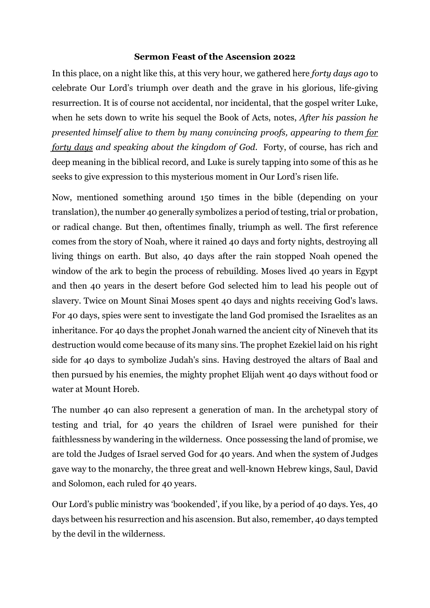## **Sermon Feast of the Ascension 2022**

In this place, on a night like this, at this very hour, we gathered here *forty days ago* to celebrate Our Lord's triumph over death and the grave in his glorious, life-giving resurrection. It is of course not accidental, nor incidental, that the gospel writer Luke, when he sets down to write his sequel the Book of Acts, notes, *After his passion he presented himself alive to them by many convincing proofs, appearing to them for forty days and speaking about the kingdom of God.* Forty, of course, has rich and deep meaning in the biblical record, and Luke is surely tapping into some of this as he seeks to give expression to this mysterious moment in Our Lord's risen life.

Now, mentioned something around 150 times in the bible (depending on your translation), the number 40 generally symbolizes a period of testing, trial or probation, or radical change. But then, oftentimes finally, triumph as well. The first reference comes from the story of Noah, where it rained 40 days and forty nights, destroying all living things on earth. But also, 40 days after the rain stopped Noah opened the window of the ark to begin the process of rebuilding. Moses lived 40 years in Egypt and then 40 years in the desert before God selected him to lead his people out of slavery. Twice on Mount Sinai Moses spent 40 days and nights receiving God's laws. For 40 days, spies were sent to investigate the land God promised the Israelites as an inheritance. For 40 days the prophet Jonah warned the ancient city of Nineveh that its destruction would come because of its many sins. The prophet Ezekiel laid on his right side for 40 days to symbolize Judah's sins. Having destroyed the altars of Baal and then pursued by his enemies, the mighty prophet Elijah went 40 days without food or water at Mount Horeb.

The number 40 can also represent a generation of man. In the archetypal story of testing and trial, for 40 years the children of Israel were punished for their faithlessness by wandering in the wilderness. Once possessing the land of promise, we are told the Judges of Israel served God for 40 years. And when the system of Judges gave way to the monarchy, the three great and well-known Hebrew kings, Saul, David and Solomon, each ruled for 40 years.

Our Lord's public ministry was 'bookended', if you like, by a period of 40 days. Yes, 40 days between his resurrection and his ascension. But also, remember, 40 days tempted by the devil in the wilderness.